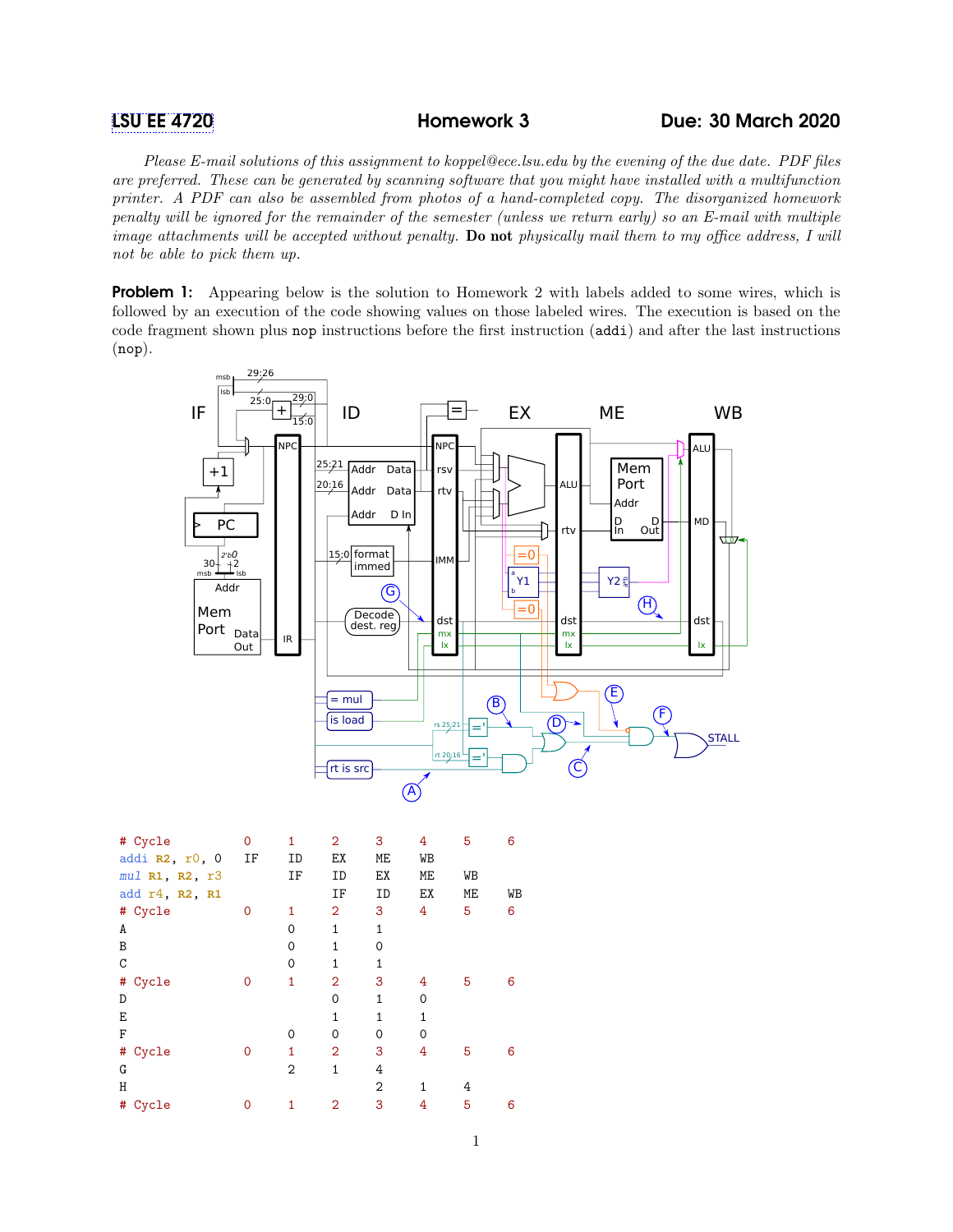## [LSU EE 4720](https://www.ece.lsu.edu/ee4720/) Homework 3 Due: 30 March 2020

Please E-mail solutions of this assignment to koppel@ece.lsu.edu by the evening of the due date. PDF files are preferred. These can be generated by scanning software that you might have installed with a multifunction printer. A PDF can also be assembled from photos of a hand-completed copy. The disorganized homework penalty will be ignored for the remainder of the semester (unless we return early) so an E-mail with multiple image attachments will be accepted without penalty. Do not physically mail them to my office address, I will not be able to pick them up.

**Problem 1:** Appearing below is the solution to Homework 2 with labels added to some wires, which is followed by an execution of the code showing values on those labeled wires. The execution is based on the code fragment shown plus nop instructions before the first instruction (addi) and after the last instructions (nop).



| # Cycle          | 0           | 1              | $\overline{2}$ | 3            | 4              | 5  | 6  |
|------------------|-------------|----------------|----------------|--------------|----------------|----|----|
| addi $R2, r0, 0$ | ΙF          | ID             | EX             | МE           | WB             |    |    |
| mul R1, R2, r3   |             | ΙF             | ID             | EX           | МE             | WB |    |
| add r4, R2, R1   |             |                | ΙF             | ID           | ЕX             | МE | WB |
| # Cycle          | 0           | 1              | $\overline{2}$ | 3            | 4              | 5  | 6  |
| A                |             | $\Omega$       | $\mathbf{1}$   | $\mathbf{1}$ |                |    |    |
| B                |             | $\Omega$       | $\mathbf{1}$   | 0            |                |    |    |
| C                |             | $\Omega$       | $\mathbf{1}$   | 1            |                |    |    |
| #<br>Cycle       | 0           | 1              | $\overline{2}$ | 3            | 4              | 5  | 6  |
| D                |             |                | $\Omega$       | 1            | $\Omega$       |    |    |
| E                |             |                | $\mathbf{1}$   | $\mathbf{1}$ | $\overline{1}$ |    |    |
| $\rm F$          |             | $\Omega$       | 0              | 0            | 0              |    |    |
| # Cycle          | $\mathbf 0$ | 1              | $\overline{2}$ | 3            | 4              | 5  | 6  |
| G                |             | $\overline{2}$ | $\mathbf{1}$   | 4            |                |    |    |
| Η                |             |                |                | 2            | $\mathbf{1}$   | 4  |    |
| #<br>Cycle       | 0           | 1              | 2              | 3            | 4              | 5  | 6  |
|                  |             |                |                |              |                |    |    |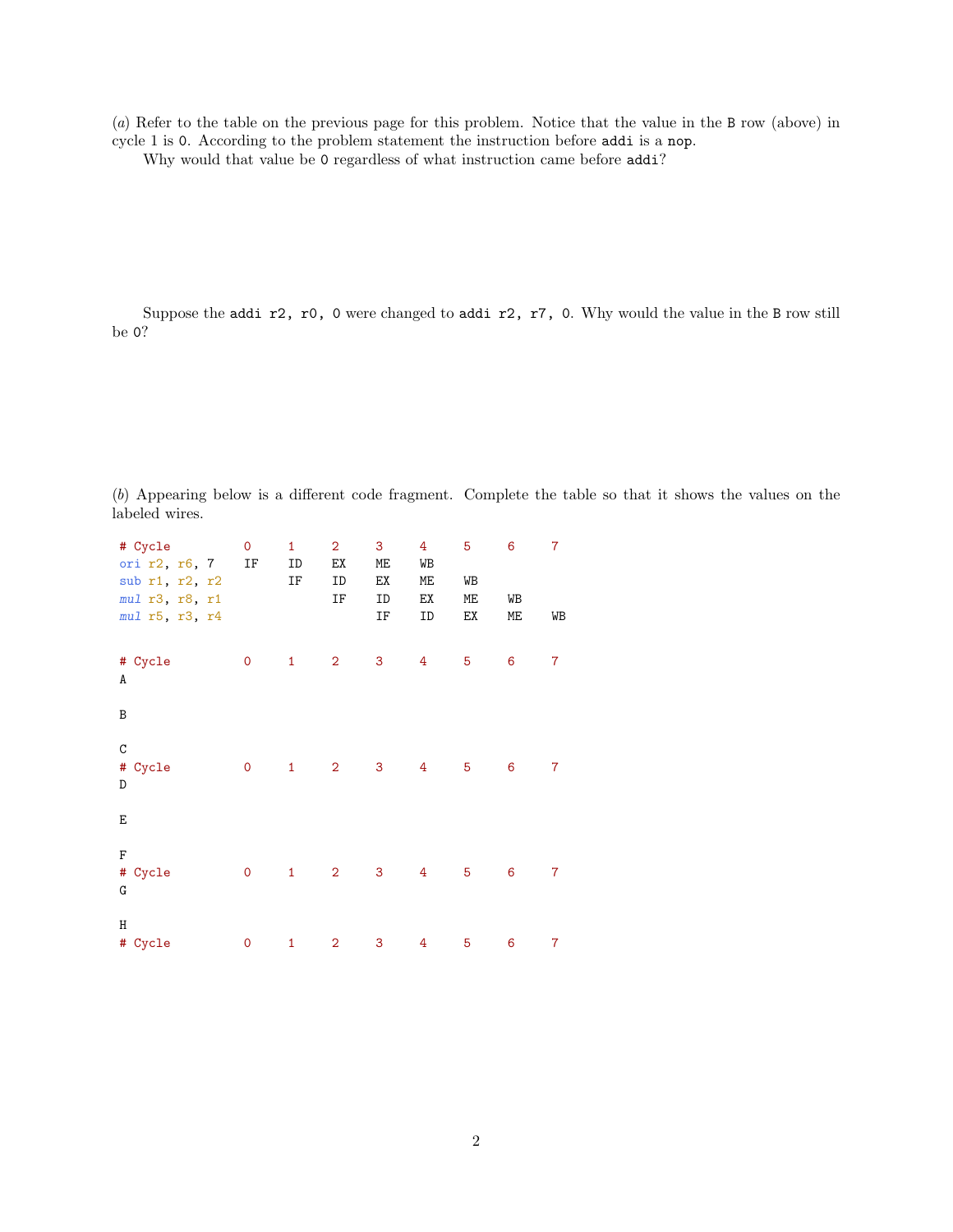(a) Refer to the table on the previous page for this problem. Notice that the value in the B row (above) in cycle 1 is 0. According to the problem statement the instruction before addi is a nop.

Why would that value be 0 regardless of what instruction came before addi?

Suppose the addi r2, r0, 0 were changed to addi r2, r7, 0. Why would the value in the B row still be 0?

(b) Appearing below is a different code fragment. Complete the table so that it shows the values on the labeled wires.

| # Cycle<br>ori $r2, r6, 7$ IF<br>sub r1, r2, r2<br>mul r3, r8, r1<br>mul r5, r3, r4 | $\mathbf 0$  | $\mathbf{1}$<br>ID<br>IF | $\overline{a}$<br>ΕX<br>ID<br>ΙF | 3 <sub>1</sub><br>МE<br>EX<br>ID<br>IF | 4 <sup>1</sup><br>WB<br>МE<br>EX<br>ID | 5<br>WB<br>МE<br>EX | 6<br>WB<br>МE | $\overline{7}$<br>WB |
|-------------------------------------------------------------------------------------|--------------|--------------------------|----------------------------------|----------------------------------------|----------------------------------------|---------------------|---------------|----------------------|
| # Cycle<br>A                                                                        | $\mathsf{O}$ | $\mathbf{1}$             | $\overline{2}$                   | 3                                      | $4^{\circ}$                            | 5                   | 6             | 7                    |
| B                                                                                   |              |                          |                                  |                                        |                                        |                     |               |                      |
| $\mathtt{C}$<br># Cycle<br>D                                                        | $\mathsf{O}$ | $\overline{1}$           | $\overline{\mathbf{2}}$          | $\mathbf{3}$                           | $\overline{4}$                         | $-5$                | 6             | 7                    |
| Е                                                                                   |              |                          |                                  |                                        |                                        |                     |               |                      |
| $\mathbf F$<br># Cycle<br>G                                                         | $\mathsf{O}$ | $\mathbf{1}$             | $\overline{2}$                   | 3                                      | 4                                      | 5                   | 6             | 7                    |
| Η<br># Cycle                                                                        | $\pmb{0}$    | $\mathbf{1}$             | $\overline{\mathbf{c}}$          | 3                                      | 4                                      | 5                   | 6             | 7                    |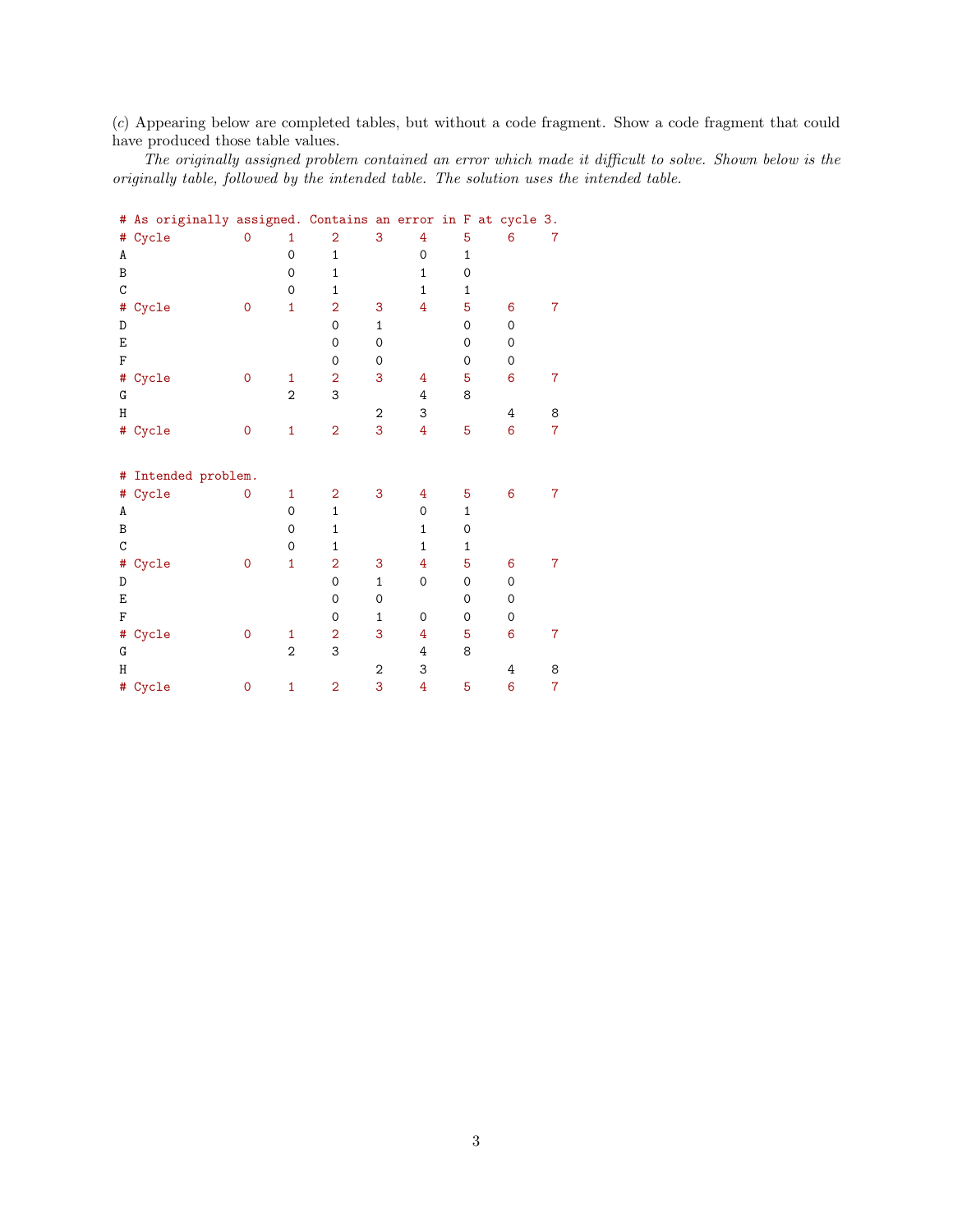(c) Appearing below are completed tables, but without a code fragment. Show a code fragment that could have produced those table values.

The originally assigned problem contained an error which made it difficult to solve. Shown below is the originally table, followed by the intended table. The solution uses the intended table.

| 7                   |  |  |  |  |  |  |  |  |  |  |
|---------------------|--|--|--|--|--|--|--|--|--|--|
|                     |  |  |  |  |  |  |  |  |  |  |
|                     |  |  |  |  |  |  |  |  |  |  |
|                     |  |  |  |  |  |  |  |  |  |  |
|                     |  |  |  |  |  |  |  |  |  |  |
| 7                   |  |  |  |  |  |  |  |  |  |  |
|                     |  |  |  |  |  |  |  |  |  |  |
|                     |  |  |  |  |  |  |  |  |  |  |
|                     |  |  |  |  |  |  |  |  |  |  |
| 7                   |  |  |  |  |  |  |  |  |  |  |
|                     |  |  |  |  |  |  |  |  |  |  |
| 8                   |  |  |  |  |  |  |  |  |  |  |
| $\overline{7}$      |  |  |  |  |  |  |  |  |  |  |
|                     |  |  |  |  |  |  |  |  |  |  |
| # Intended problem. |  |  |  |  |  |  |  |  |  |  |
| 7                   |  |  |  |  |  |  |  |  |  |  |
|                     |  |  |  |  |  |  |  |  |  |  |
|                     |  |  |  |  |  |  |  |  |  |  |
|                     |  |  |  |  |  |  |  |  |  |  |
| $\overline{7}$      |  |  |  |  |  |  |  |  |  |  |
|                     |  |  |  |  |  |  |  |  |  |  |
|                     |  |  |  |  |  |  |  |  |  |  |
|                     |  |  |  |  |  |  |  |  |  |  |
| 7                   |  |  |  |  |  |  |  |  |  |  |
|                     |  |  |  |  |  |  |  |  |  |  |
| 8                   |  |  |  |  |  |  |  |  |  |  |
| 7                   |  |  |  |  |  |  |  |  |  |  |
|                     |  |  |  |  |  |  |  |  |  |  |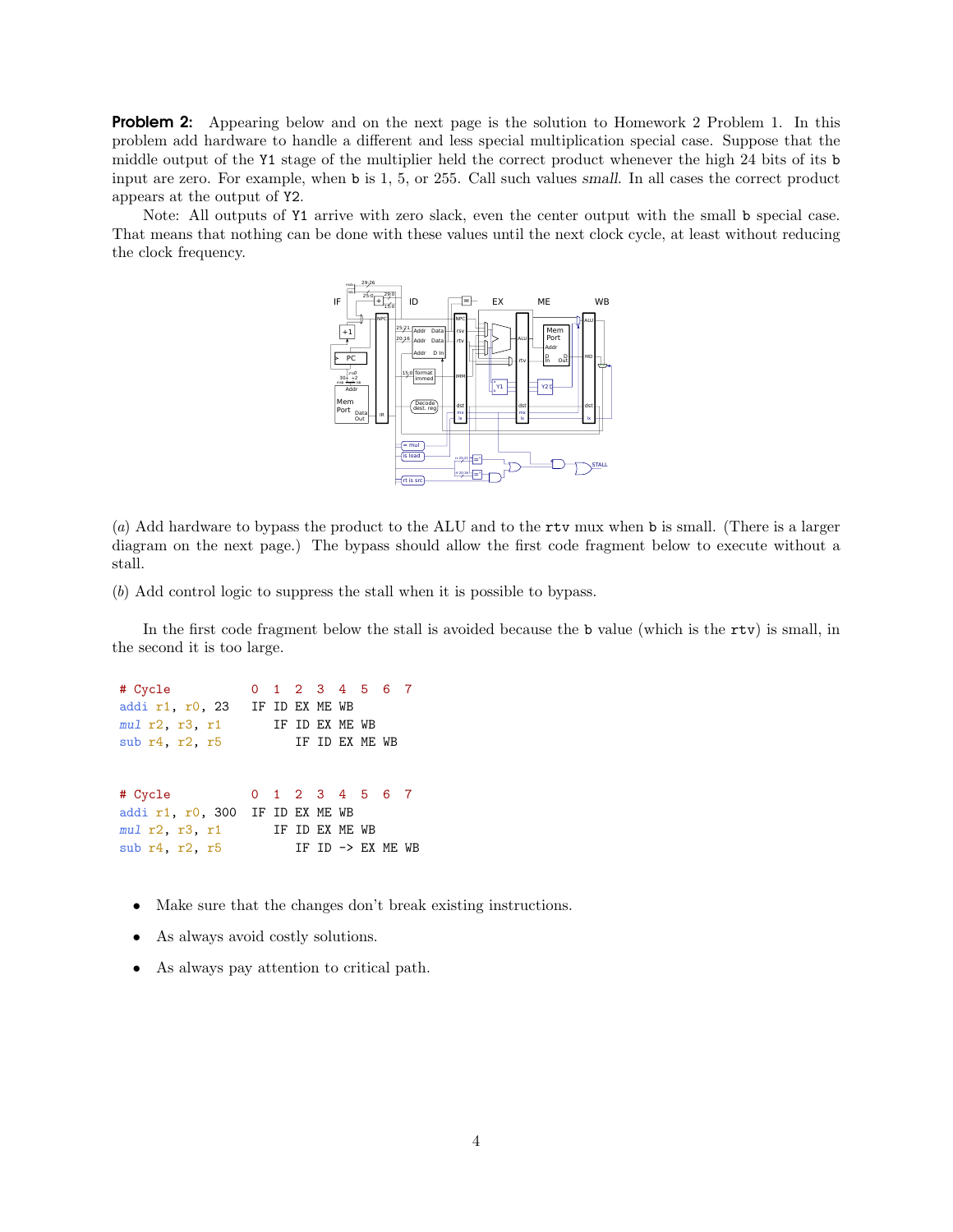**Problem 2:** Appearing below and on the next page is the solution to Homework 2 Problem 1. In this problem add hardware to handle a different and less special multiplication special case. Suppose that the middle output of the Y1 stage of the multiplier held the correct product whenever the high 24 bits of its b input are zero. For example, when b is 1, 5, or 255. Call such values small. In all cases the correct product appears at the output of Y2.

Note: All outputs of Y1 arrive with zero slack, even the center output with the small b special case. That means that nothing can be done with these values until the next clock cycle, at least without reducing the clock frequency.



(a) Add hardware to bypass the product to the ALU and to the rtv mux when b is small. (There is a larger diagram on the next page.) The bypass should allow the first code fragment below to execute without a stall.

(b) Add control logic to suppress the stall when it is possible to bypass.

In the first code fragment below the stall is avoided because the b value (which is the rtv) is small, in the second it is too large.

# Cycle 0 1 2 3 4 5 6 7 addi r1, r0, 23 IF ID EX ME WB mul r2, r3, r1 IF ID EX ME WB sub r4, r2, r5 IF ID EX ME WB # Cycle 0 1 2 3 4 5 6 7 addi r1, r0, 300 IF ID EX ME WB mul r2, r3, r1 IF ID EX ME WB sub  $r4$ ,  $r2$ ,  $r5$  IF ID  $\rightarrow$  EX ME WB

- Make sure that the changes don't break existing instructions.
- As always avoid costly solutions.
- As always pay attention to critical path.